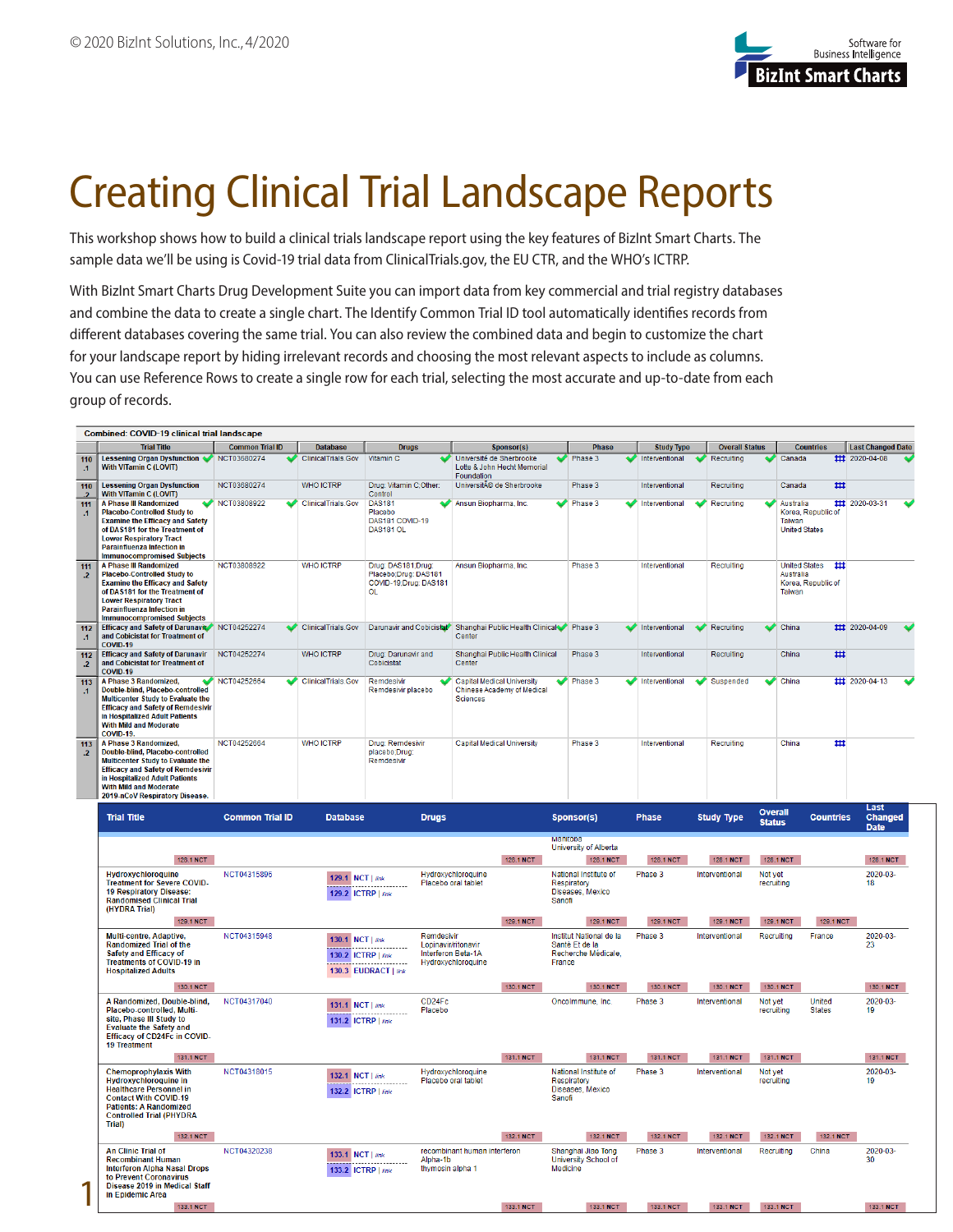

## Creating Clinical Trial Landscape Reports

This workshop shows how to build a clinical trials landscape report using the key features of BizInt Smart Charts. The sample data we'll be using is Covid-19 trial data from ClinicalTrials.gov, the EU CTR, and the WHO's ICTRP.

With BizInt Smart Charts Drug Development Suite you can import data from key commercial and trial registry databases and combine the data to create a single chart. The Identify Common Trial ID tool automatically identifies records from different databases covering the same trial. You can also review the combined data and begin to customize the chart for your landscape report by hiding irrelevant records and choosing the most relevant aspects to include as columns. You can use Reference Rows to create a single row for each trial, selecting the most accurate and up-to-date from each group of records.

|                                | Combined: COVID-19 clinical trial landscape                                                                                                                                                                                                                 |                        |                                        |                                                                                  |                                                                                           |                                                                            |                   |                       |                                                                        |                                |  |
|--------------------------------|-------------------------------------------------------------------------------------------------------------------------------------------------------------------------------------------------------------------------------------------------------------|------------------------|----------------------------------------|----------------------------------------------------------------------------------|-------------------------------------------------------------------------------------------|----------------------------------------------------------------------------|-------------------|-----------------------|------------------------------------------------------------------------|--------------------------------|--|
|                                | <b>Trial Title</b>                                                                                                                                                                                                                                          | <b>Common Trial ID</b> | <b>Database</b>                        | <b>Drugs</b>                                                                     | Sponsor(s)                                                                                | <b>Phase</b>                                                               | <b>Study Type</b> | <b>Overall Status</b> | <b>Countries</b>                                                       | <b>Last Changed Date</b>       |  |
| 110<br>$\cdot$ 1               | Lessening Organ Dysfunction <a> NCT03680274<br/><b>With VITamin C (LOVIT)</b></a>                                                                                                                                                                           |                        | ClinicalTrials.Gov                     | Vitamin <sub>C</sub>                                                             | Université de Sherbrooke<br>Lotte & John Hecht Memorial<br>Foundation                     | Phase 3                                                                    | Interventional    | ♦<br>Recruiting       | $\triangleright$ Canada                                                | ## 2020-04-08                  |  |
| 110<br>$\overline{\mathbf{r}}$ | <b>Lessening Organ Dysfunction</b><br><b>With VITamin C (LOVIT)</b>                                                                                                                                                                                         | NCT03680274            | <b>WHO ICTRP</b>                       | Drug: Vitamin C;Other:<br>Control                                                | Université de Sherbrooke                                                                  | Phase 3                                                                    | Interventional    | Recruiting            | Canada<br>♯                                                            |                                |  |
| 111<br>$\cdot$ 1               | <b>A Phase III Randomized</b><br><b>Placebo-Controlled Study to</b><br><b>Examine the Efficacy and Safety</b><br>of DAS181 for the Treatment of<br><b>Lower Respiratory Tract</b><br><b>Parainfluenza Infection in</b><br><b>Immunocompromised Subjects</b> | NCT03808922            | ClinicalTrials.Gov                     | <b>DAS181</b><br>Placebo<br>DAS181 COVID-19<br>DAS181 OL                         | Ansun Biopharma, Inc.                                                                     | Phase 3                                                                    | Interventional    | Recruiting            | Australia<br>Korea, Republic of<br>Taiwan<br><b>United States</b>      | ## 2020-03-31                  |  |
| 111<br>$\cdot$ .2              | <b>A Phase III Randomized</b><br><b>Placebo-Controlled Study to</b><br><b>Examine the Efficacy and Safety</b><br>of DAS181 for the Treatment of<br><b>Lower Respiratory Tract</b><br><b>Parainfluenza Infection in</b><br><b>Immunocompromised Subjects</b> | NCT03808922            | <b>WHO ICTRP</b>                       | Drug: DAS181;Drug:<br>Placebo;Drug: DAS181<br>COVID-19;Drug: DAS181<br><b>OL</b> | Ansun Biopharma, Inc.                                                                     | Phase 3                                                                    | Interventional    | Recruiting            | <b>United States</b><br>₩<br>Australia<br>Korea, Republic of<br>Taiwan |                                |  |
| 112<br>$\cdot$ 1               | Efficacy and Safety of Darunavir NCT04252274<br>and Cobicistat for Treatment of<br><b>COVID-19</b>                                                                                                                                                          |                        | <b>ClinicalTrials.Gov</b>              |                                                                                  | Darunavir and Cobicistat Shanghai Public Health Clinical Phase 3<br>Center                |                                                                            | Interventional    | Recruiting            | $\bullet$ China                                                        | ## 2020-04-09                  |  |
| 112<br>$\cdot$ .2              | <b>Efficacy and Safety of Darunavir</b><br>and Cobicistat for Treatment of<br>COVID-19                                                                                                                                                                      | NCT04252274            | <b>WHO ICTRP</b>                       | Drug: Darunavir and<br>Cobicistat                                                | Shanghai Public Health Clinical<br>Center                                                 | Phase 3                                                                    | Interventional    | Recruiting            | China<br>₩                                                             |                                |  |
| 113<br>$\cdot$ 1               | A Phase 3 Randomized.<br>Double-blind, Placebo-controlled<br>Multicenter Study to Evaluate the<br><b>Efficacy and Safety of Remdesivir</b><br>in Hospitalized Adult Patients<br><b>With Mild and Moderate</b><br><b>COVID-19.</b>                           | NCT04252664            | <b>ClinicalTrials.Gov</b>              | Remdesivir<br>Remdesivir placebo                                                 | <b>Capital Medical University</b><br><b>Chinese Academy of Medical</b><br><b>Sciences</b> | Phase 3                                                                    | Interventional    | Suspended             | China                                                                  | 11 2020-04-13                  |  |
| 113<br>$\cdot$ .2              | A Phase 3 Randomized,<br>Double-blind, Placebo-controlled<br>Multicenter Study to Evaluate the<br><b>Efficacy and Safety of Remdesivir</b><br>in Hospitalized Adult Patients<br><b>With Mild and Moderate</b><br>2019-nCoV Respiratory Disease.             | NCT04252664            | <b>WHO ICTRP</b>                       | Drug: Remdesivir<br>placebo;Drug:<br>Remdesivir                                  | <b>Capital Medical University</b>                                                         | Phase 3                                                                    | Interventional    | Recruiting            | ₩<br>China                                                             |                                |  |
|                                | <b>Trial Title</b>                                                                                                                                                                                                                                          | <b>Common Trial ID</b> | <b>Database</b>                        | <b>Drugs</b>                                                                     |                                                                                           | Sponsor(s)                                                                 | <b>Phase</b>      | <b>Study Type</b>     | <b>Overall</b><br><b>Countries</b><br><b>Status</b>                    | Last<br>Changed<br><b>Date</b> |  |
|                                |                                                                                                                                                                                                                                                             |                        |                                        |                                                                                  |                                                                                           | <b>Manitopa</b><br>University of Alberta                                   |                   |                       |                                                                        |                                |  |
|                                | 128.1 NCT                                                                                                                                                                                                                                                   |                        |                                        |                                                                                  | 128.1 NCT                                                                                 | 128.1 NCT                                                                  | 128.1 NCT         | 128.1 NCT             | 128.1 NCT                                                              | 128.1 NCT                      |  |
|                                | Hydroxychloroquine<br><b>Treatment for Severe COVID-</b><br>19 Respiratory Disease:<br><b>Randomised Clinical Trial</b><br>(HYDRA Trial)                                                                                                                    | NCT04315896            | 129.1 NCT   link<br>129.2 ICTRP   link |                                                                                  | Hydroxychloroquine<br>Placebo oral tablet                                                 | National Institute of<br>Respiratory<br>Diseases, Mexico<br>Sanofi         | Phase 3           | Interventional        | Not yet<br>recruiting                                                  | 2020-03-<br>18                 |  |
|                                | 129.1 NCT                                                                                                                                                                                                                                                   |                        |                                        |                                                                                  | 129.1 NCT                                                                                 | 129.1 NCT                                                                  | 129.1 NCT         | 129.1 NCT             | 129.1 NCT<br>129.1 NCT                                                 |                                |  |
|                                | Multi-centre, Adaptive,<br><b>Randomized Trial of the</b><br>Safety and Efficacy of<br><b>Treatments of COVID-19 in</b><br><b>Hospitalized Adults</b>                                                                                                       | NCT04315948            | 130.1 NCT   link<br>130.2 ICTRP   link | Remdesivir<br>Lopinavir/ritonavir<br>Interferon Beta-1A<br>130.3 EUDRACT   link  | Hydroxychloroquine                                                                        | Institut National de la<br>Santé Et de la<br>Recherche Médicale,<br>France | Phase 3           | Interventional        | Recruiting<br>France                                                   | 2020-03-<br>23                 |  |
|                                | 130.1 NCT                                                                                                                                                                                                                                                   |                        |                                        |                                                                                  | 130.1 NCT                                                                                 | 130.1 NCT                                                                  | 130.1 NCT         | 130.1 NCT             | 130.1 NCT                                                              | 130.1 NCT                      |  |
|                                | A Randomized, Double-blind,<br>Placebo-controlled, Multi-<br>site, Phase III Study to<br><b>Evaluate the Safety and</b><br>Efficacy of CD24Fc in COVID-<br><b>19 Treatment</b>                                                                              | NCT04317040            | 131.1 NCT   link<br>131.2 ICTRP   link | CD24Fc<br>Placebo                                                                |                                                                                           | Oncolmmune, Inc.                                                           | Phase 3           | Interventional        | <b>United</b><br>Not yet<br><b>States</b><br>recruiting                | 2020-03-<br>19                 |  |
|                                | 131.1 NCT                                                                                                                                                                                                                                                   |                        |                                        |                                                                                  | 131.1 NCT                                                                                 | 131.1 NCT                                                                  | 131.1 NCT         | 131.1 NCT             | 131.1 NCT                                                              | 131.1 NCT                      |  |
|                                | <b>Chemoprophylaxis With</b><br><b>Hydroxychloroquine in</b><br><b>Healthcare Personnel in</b><br><b>Contact With COVID-19</b><br><b>Patients: A Randomized</b><br><b>Controlled Trial (PHYDRA</b><br>Trial)                                                | NCT04318015            | 132.1 NCT   link<br>132.2 ICTRP   link |                                                                                  | Hydroxychloroquine<br>Placebo oral tablet                                                 | National Institute of<br>Respiratory<br>Diseases, Mexico<br>Sanofi         | Phase 3           | Interventional        | Not yet<br>recruiting                                                  | 2020-03-<br>19                 |  |
|                                | 132.1 NCT                                                                                                                                                                                                                                                   |                        |                                        |                                                                                  | 132.1 NCT                                                                                 | 132.1 NCT                                                                  | 132.1 NCT         | 132.1 NCT             | 132.1 NCT<br>132.1 NCT                                                 |                                |  |
|                                | <b>An Clinic Trial of</b><br><b>Recombinant Human</b><br><b>Interferon Alpha Nasal Drops</b><br>to Prevent Coronavirus<br>Disease 2019 in Medical Staff<br>in Epidemic Area                                                                                 | NCT04320238            | 133.1 NCT   link<br>133.2 ICTRP   link | Alpha-1b<br>thymosin alpha 1                                                     | recombinant human interferon                                                              | Shanghai Jiao Tong<br><b>University School of</b><br>Medicine              | Phase 3           | Interventional        | Recruiting<br>China                                                    | 2020-03-<br>30                 |  |
|                                | 133.1 NCT                                                                                                                                                                                                                                                   |                        |                                        |                                                                                  | 133.1 NCT                                                                                 | 133.1 NCT                                                                  | 133.1 NCT         | 133.1 NCT             | 133.1 NCT                                                              | 133.1 NCT                      |  |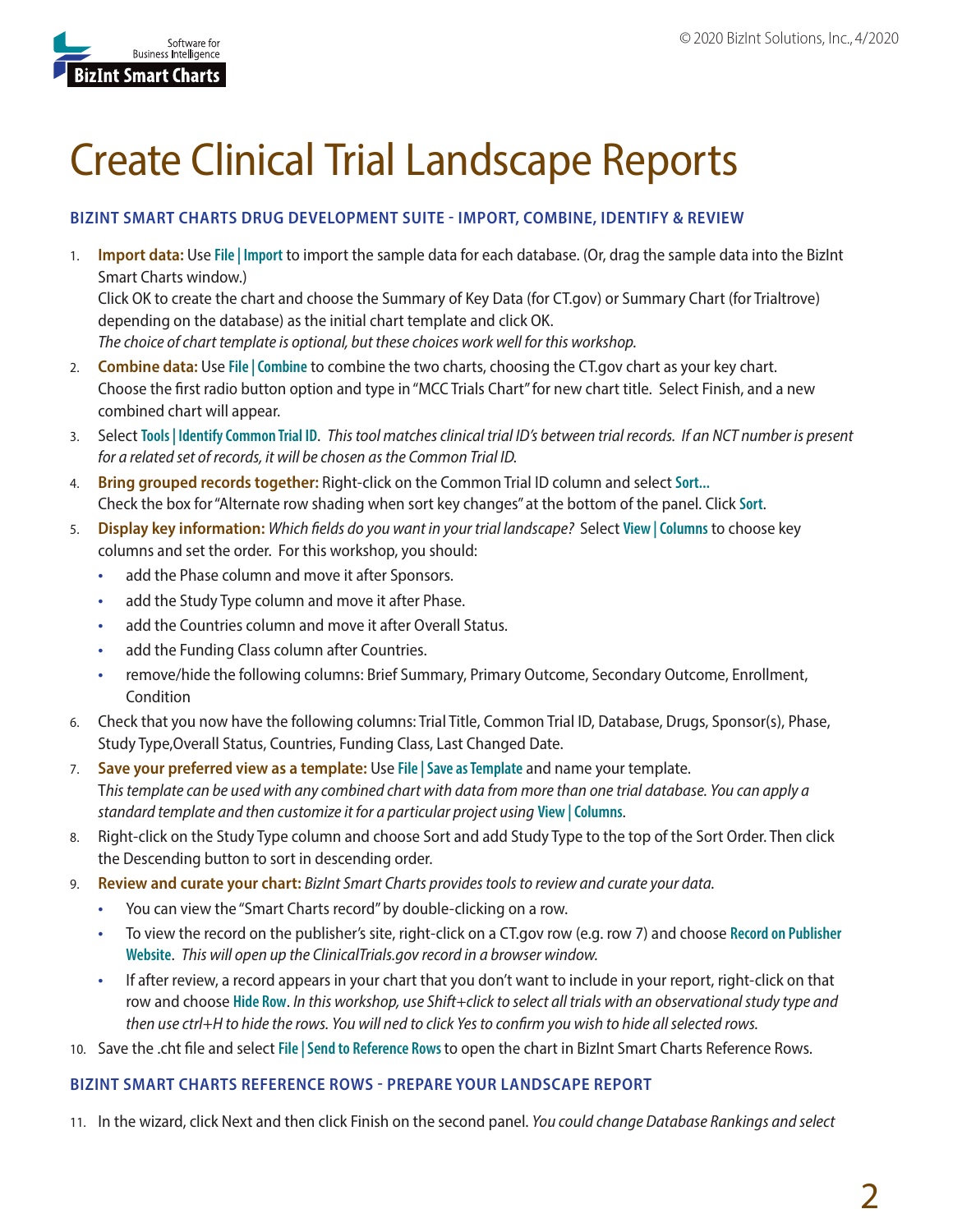

# Create Clinical Trial Landscape Reports

## **BIZINT SMART CHARTS DRUG DEVELOPMENT SUITE - IMPORT, COMBINE, IDENTIFY & REVIEW**

1. **Import data:** Use **File | Import** to import the sample data for each database. (Or, drag the sample data into the BizInt Smart Charts window.) Click OK to create the chart and choose the Summary of Key Data (for CT.gov) or Summary Chart (for Trialtrove) depending on the database) as the initial chart template and click OK.

*The choice of chart template is optional, but these choices work well for this workshop.*

- 2. **Combine data:** Use **File | Combine** to combine the two charts, choosing the CT.gov chart as your key chart. Choose the first radio button option and type in "MCC Trials Chart" for new chart title. Select Finish, and a new combined chart will appear.
- 3. Select **Tools | Identify Common Trial ID**. *This tool matches clinical trial ID's between trial records. If an NCT number is present for a related set of records, it will be chosen as the Common Trial ID.*
- 4. **Bring grouped records together:** Right-click on the Common Trial ID column and select **Sort...** Check the box for "Alternate row shading when sort key changes" at the bottom of the panel. Click **Sort**.
- 5. **Display key information:** *Which fields do you want in your trial landscape?* Select **View | Columns** to choose key columns and set the order. For this workshop, you should:
	- add the Phase column and move it after Sponsors.
	- add the Study Type column and move it after Phase.
	- add the Countries column and move it after Overall Status.
	- add the Funding Class column after Countries.
	- remove/hide the following columns: Brief Summary, Primary Outcome, Secondary Outcome, Enrollment, Condition
- 6. Check that you now have the following columns: Trial Title, Common Trial ID, Database, Drugs, Sponsor(s), Phase, Study Type,Overall Status, Countries, Funding Class, Last Changed Date.
- 7. **Save your preferred view as a template:** Use **File | Save as Template** and name your template. T*his template can be used with any combined chart with data from more than one trial database. You can apply a standard template and then customize it for a particular project using* **View | Columns**.
- 8. Right-click on the Study Type column and choose Sort and add Study Type to the top of the Sort Order. Then click the Descending button to sort in descending order.
- 9. **Review and curate your chart:** *BizInt Smart Charts provides tools to review and curate your data.* 
	- You can view the "Smart Charts record" by double-clicking on a row.
	- To view the record on the publisher's site, right-click on a CT.gov row (e.g. row 7) and choose **Record on Publisher Website**. *This will open up the ClinicalTrials.gov record in a browser window.*
	- If after review, a record appears in your chart that you don't want to include in your report, right-click on that row and choose **Hide Row**. *In this workshop, use Shift+click to select all trials with an observational study type and then use ctrl+H to hide the rows. You will ned to click Yes to confirm you wish to hide all selected rows.*
- 10. Save the .cht file and select **File | Send to Reference Rows** to open the chart in BizInt Smart Charts Reference Rows.

### **BIZINT SMART CHARTS REFERENCE ROWS - PREPARE YOUR LANDSCAPE REPORT**

11. In the wizard, click Next and then click Finish on the second panel. *You could change Database Rankings and select*